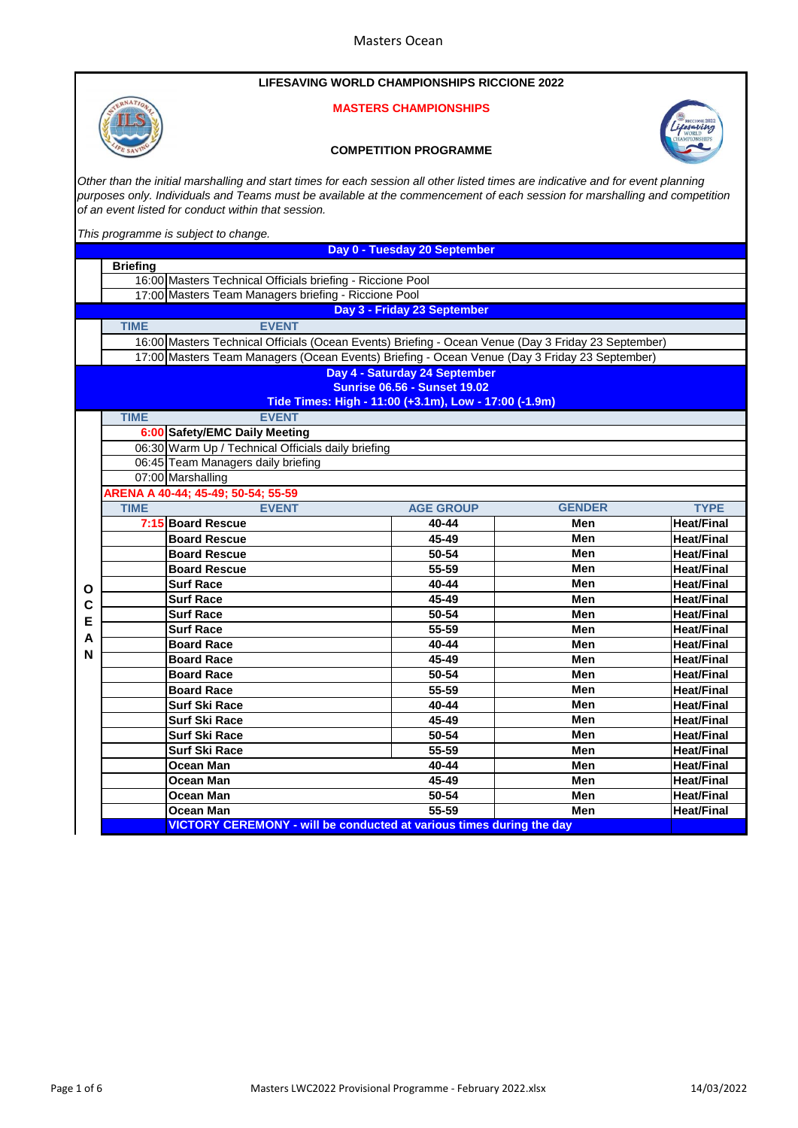### **LIFESAVING WORLD CHAMPIONSHIPS RICCIONE 2022**

### **MASTERS CHAMPIONSHIPS**



#### **COMPETITION PROGRAMME**



*Other than the initial marshalling and start times for each session all other listed times are indicative and for event planning purposes only. Individuals and Teams must be available at the commencement of each session for marshalling and competition of an event listed for conduct within that session.*

*This programme is subject to change.* 

|   | Day 0 - Tuesday 20 September                                                                        |                                                       |                                     |               |                   |  |
|---|-----------------------------------------------------------------------------------------------------|-------------------------------------------------------|-------------------------------------|---------------|-------------------|--|
|   | <b>Briefing</b>                                                                                     |                                                       |                                     |               |                   |  |
|   | 16:00 Masters Technical Officials briefing - Riccione Pool                                          |                                                       |                                     |               |                   |  |
|   | 17:00 Masters Team Managers briefing - Riccione Pool                                                |                                                       |                                     |               |                   |  |
|   |                                                                                                     |                                                       | Day 3 - Friday 23 September         |               |                   |  |
|   | <b>EVENT</b><br><b>TIME</b>                                                                         |                                                       |                                     |               |                   |  |
|   | 16:00 Masters Technical Officials (Ocean Events) Briefing - Ocean Venue (Day 3 Friday 23 September) |                                                       |                                     |               |                   |  |
|   | 17:00 Masters Team Managers (Ocean Events) Briefing - Ocean Venue (Day 3 Friday 23 September)       |                                                       |                                     |               |                   |  |
|   |                                                                                                     |                                                       | Day 4 - Saturday 24 September       |               |                   |  |
|   |                                                                                                     |                                                       | <b>Sunrise 06.56 - Sunset 19.02</b> |               |                   |  |
|   |                                                                                                     | Tide Times: High - 11:00 (+3.1m), Low - 17:00 (-1.9m) |                                     |               |                   |  |
|   | <b>TIME</b><br><b>EVENT</b>                                                                         |                                                       |                                     |               |                   |  |
|   |                                                                                                     | 6:00 Safety/EMC Daily Meeting                         |                                     |               |                   |  |
|   |                                                                                                     | 06:30 Warm Up / Technical Officials daily briefing    |                                     |               |                   |  |
|   |                                                                                                     | 06:45 Team Managers daily briefing                    |                                     |               |                   |  |
|   |                                                                                                     | 07:00 Marshalling                                     |                                     |               |                   |  |
|   |                                                                                                     | ARENA A 40-44; 45-49; 50-54; 55-59                    |                                     |               |                   |  |
|   | <b>TIME</b>                                                                                         | <b>EVENT</b>                                          | <b>AGE GROUP</b>                    | <b>GENDER</b> | <b>TYPE</b>       |  |
|   |                                                                                                     | 7:15 Board Rescue                                     | 40-44                               | Men           | <b>Heat/Final</b> |  |
|   |                                                                                                     | <b>Board Rescue</b>                                   | 45-49                               | Men           | <b>Heat/Final</b> |  |
|   |                                                                                                     | <b>Board Rescue</b>                                   | 50-54                               | Men           | <b>Heat/Final</b> |  |
|   |                                                                                                     | <b>Board Rescue</b>                                   | $55 - 59$                           | Men           | <b>Heat/Final</b> |  |
| Ο |                                                                                                     | <b>Surf Race</b>                                      | 40-44                               | Men           | <b>Heat/Final</b> |  |
| C |                                                                                                     | <b>Surf Race</b>                                      | 45-49                               | Men           | <b>Heat/Final</b> |  |
| E |                                                                                                     | <b>Surf Race</b>                                      | 50-54                               | Men           | <b>Heat/Final</b> |  |
| A |                                                                                                     | <b>Surf Race</b>                                      | 55-59                               | Men           | <b>Heat/Final</b> |  |
| N |                                                                                                     | <b>Board Race</b>                                     | 40-44                               | Men           | <b>Heat/Final</b> |  |
|   |                                                                                                     | <b>Board Race</b>                                     | 45-49                               | Men           | <b>Heat/Final</b> |  |
|   |                                                                                                     | <b>Board Race</b>                                     | 50-54                               | Men           | <b>Heat/Final</b> |  |
|   |                                                                                                     | <b>Board Race</b>                                     | 55-59                               | Men           | <b>Heat/Final</b> |  |
|   |                                                                                                     | <b>Surf Ski Race</b>                                  | 40-44                               | Men           | <b>Heat/Final</b> |  |
|   |                                                                                                     | <b>Surf Ski Race</b>                                  | 45-49                               | Men           | <b>Heat/Final</b> |  |
|   |                                                                                                     | <b>Surf Ski Race</b>                                  | 50-54                               | Men           | <b>Heat/Final</b> |  |
|   |                                                                                                     | <b>Surf Ski Race</b>                                  | 55-59                               | Men           | <b>Heat/Final</b> |  |
|   |                                                                                                     | Ocean Man                                             | 40-44                               | Men           | <b>Heat/Final</b> |  |
|   |                                                                                                     | Ocean Man                                             | 45-49                               | Men           | <b>Heat/Final</b> |  |
|   |                                                                                                     | <b>Ocean Man</b>                                      | 50-54                               | Men           | <b>Heat/Final</b> |  |
|   |                                                                                                     | <b>Ocean Man</b>                                      | 55-59                               | Men           | <b>Heat/Final</b> |  |
|   | <b>VICTORY CEREMONY - will be conducted at various times during the day</b>                         |                                                       |                                     |               |                   |  |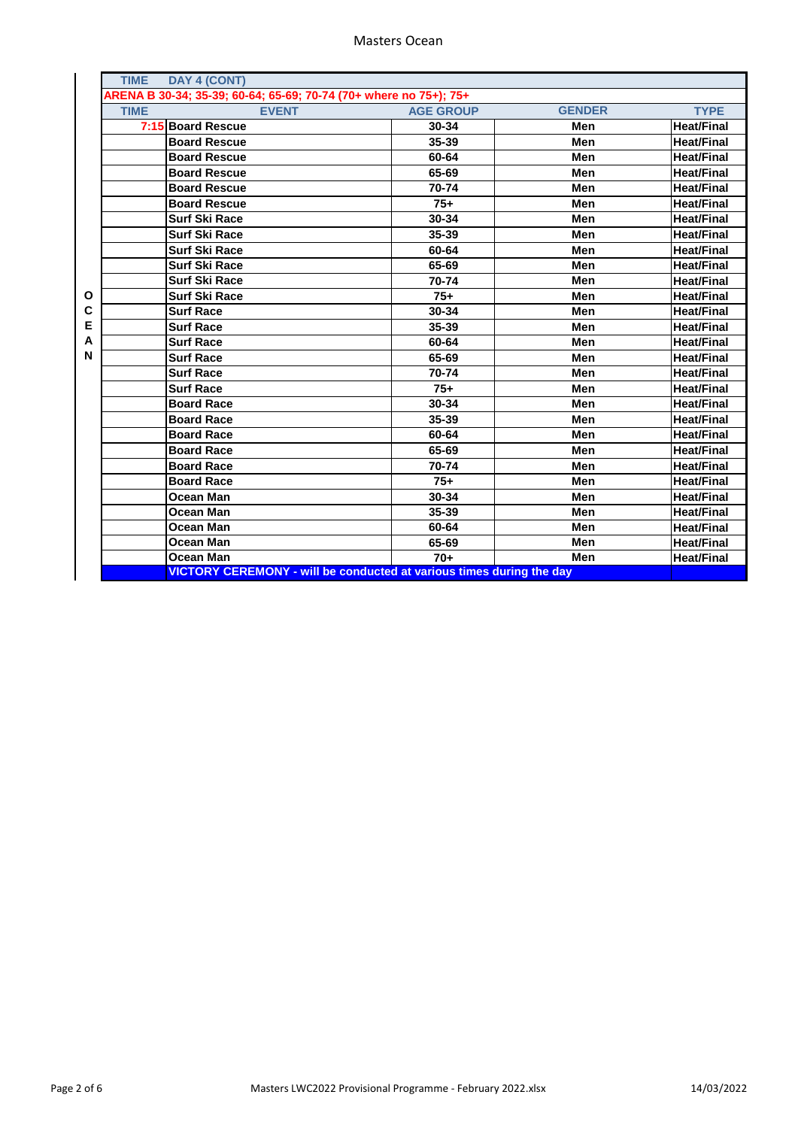|        | <b>TIME</b>                                                       | DAY 4 (CONT)                                                                |                  |               |                   |
|--------|-------------------------------------------------------------------|-----------------------------------------------------------------------------|------------------|---------------|-------------------|
|        | ARENA B 30-34; 35-39; 60-64; 65-69; 70-74 (70+ where no 75+); 75+ |                                                                             |                  |               |                   |
|        | <b>TIME</b>                                                       | <b>EVENT</b>                                                                | <b>AGE GROUP</b> | <b>GENDER</b> | <b>TYPE</b>       |
|        |                                                                   | 7:15 Board Rescue                                                           | 30-34            | Men           | <b>Heat/Final</b> |
|        |                                                                   | <b>Board Rescue</b>                                                         | 35-39            | Men           | <b>Heat/Final</b> |
|        |                                                                   | <b>Board Rescue</b>                                                         | 60-64            | Men           | <b>Heat/Final</b> |
|        |                                                                   | <b>Board Rescue</b>                                                         | 65-69            | Men           | <b>Heat/Final</b> |
|        |                                                                   | <b>Board Rescue</b>                                                         | 70-74            | Men           | <b>Heat/Final</b> |
|        |                                                                   | <b>Board Rescue</b>                                                         | $75+$            | Men           | <b>Heat/Final</b> |
|        |                                                                   | <b>Surf Ski Race</b>                                                        | 30-34            | Men           | <b>Heat/Final</b> |
|        |                                                                   | <b>Surf Ski Race</b>                                                        | 35-39            | Men           | <b>Heat/Final</b> |
|        |                                                                   | <b>Surf Ski Race</b>                                                        | 60-64            | Men           | <b>Heat/Final</b> |
|        |                                                                   | <b>Surf Ski Race</b>                                                        | 65-69            | Men           | <b>Heat/Final</b> |
|        |                                                                   | <b>Surf Ski Race</b>                                                        | 70-74            | Men           | <b>Heat/Final</b> |
| O      |                                                                   | <b>Surf Ski Race</b>                                                        | $75+$            | Men           | <b>Heat/Final</b> |
| С      |                                                                   | <b>Surf Race</b>                                                            | 30-34            | Men           | <b>Heat/Final</b> |
| Е      |                                                                   | <b>Surf Race</b>                                                            | 35-39            | Men           | <b>Heat/Final</b> |
| A<br>N |                                                                   | <b>Surf Race</b>                                                            | 60-64            | Men           | <b>Heat/Final</b> |
|        |                                                                   | <b>Surf Race</b>                                                            | 65-69            | Men           | <b>Heat/Final</b> |
|        |                                                                   | <b>Surf Race</b>                                                            | 70-74            | Men           | <b>Heat/Final</b> |
|        |                                                                   | <b>Surf Race</b>                                                            | $75+$            | Men           | <b>Heat/Final</b> |
|        |                                                                   | <b>Board Race</b>                                                           | 30-34            | Men           | <b>Heat/Final</b> |
|        |                                                                   | <b>Board Race</b>                                                           | 35-39            | Men           | <b>Heat/Final</b> |
|        |                                                                   | <b>Board Race</b>                                                           | 60-64            | Men           | <b>Heat/Final</b> |
|        |                                                                   | <b>Board Race</b>                                                           | 65-69            | Men           | <b>Heat/Final</b> |
|        |                                                                   | <b>Board Race</b>                                                           | 70-74            | Men           | <b>Heat/Final</b> |
|        |                                                                   | <b>Board Race</b>                                                           | $75+$            | Men           | <b>Heat/Final</b> |
|        |                                                                   | Ocean Man                                                                   | 30-34            | Men           | <b>Heat/Final</b> |
|        |                                                                   | Ocean Man                                                                   | 35-39            | Men           | <b>Heat/Final</b> |
|        |                                                                   | Ocean Man                                                                   | 60-64            | Men           | <b>Heat/Final</b> |
|        |                                                                   | Ocean Man                                                                   | 65-69            | Men           | <b>Heat/Final</b> |
|        |                                                                   | Ocean Man                                                                   | $70+$            | Men           | <b>Heat/Final</b> |
|        |                                                                   | <b>VICTORY CEREMONY - will be conducted at various times during the day</b> |                  |               |                   |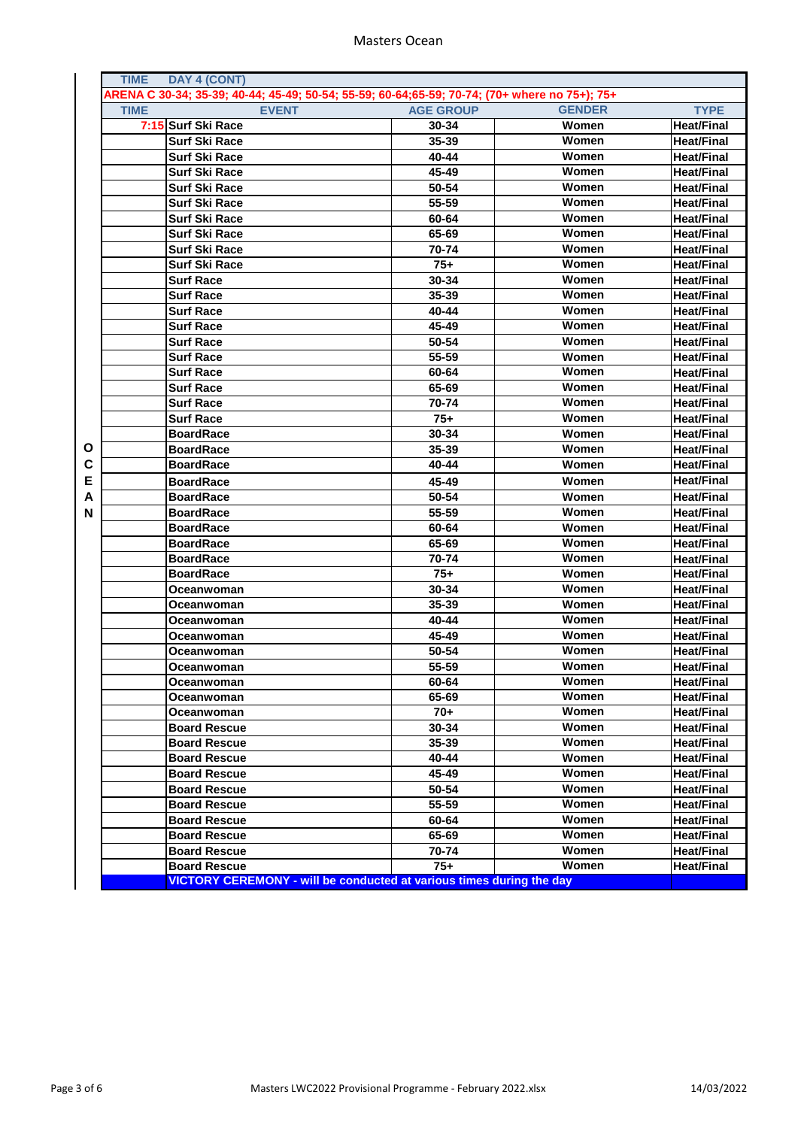|   | <b>TIME</b><br>DAY 4 (CONT)                                                                   |                  |               |                   |
|---|-----------------------------------------------------------------------------------------------|------------------|---------------|-------------------|
|   | ARENA C 30-34; 35-39; 40-44; 45-49; 50-54; 55-59; 60-64;65-59; 70-74; (70+ where no 75+); 75+ |                  |               |                   |
|   | <b>EVENT</b><br><b>TIME</b>                                                                   | <b>AGE GROUP</b> | <b>GENDER</b> | <b>TYPE</b>       |
|   | 7:15 Surf Ski Race                                                                            | 30-34            | Women         | <b>Heat/Final</b> |
|   | <b>Surf Ski Race</b>                                                                          | 35-39            | Women         | <b>Heat/Final</b> |
|   | <b>Surf Ski Race</b>                                                                          | 40-44            | Women         | <b>Heat/Final</b> |
|   | <b>Surf Ski Race</b>                                                                          | 45-49            | Women         | Heat/Final        |
|   | <b>Surf Ski Race</b>                                                                          | 50-54            | Women         | Heat/Final        |
|   | <b>Surf Ski Race</b>                                                                          | 55-59            | Women         | <b>Heat/Final</b> |
|   | <b>Surf Ski Race</b>                                                                          | 60-64            | <b>Women</b>  | <b>Heat/Final</b> |
|   | <b>Surf Ski Race</b>                                                                          | 65-69            | Women         | <b>Heat/Final</b> |
|   | <b>Surf Ski Race</b>                                                                          | 70-74            | Women         | <b>Heat/Final</b> |
|   | <b>Surf Ski Race</b>                                                                          | $75+$            | Women         | <b>Heat/Final</b> |
|   | <b>Surf Race</b>                                                                              | 30-34            | Women         | <b>Heat/Final</b> |
|   | <b>Surf Race</b>                                                                              | 35-39            | Women         | <b>Heat/Final</b> |
|   | <b>Surf Race</b>                                                                              | 40-44            | Women         | <b>Heat/Final</b> |
|   | <b>Surf Race</b>                                                                              | 45-49            | Women         | <b>Heat/Final</b> |
|   | <b>Surf Race</b>                                                                              | 50-54            | Women         | <b>Heat/Final</b> |
|   | <b>Surf Race</b>                                                                              | 55-59            | Women         | <b>Heat/Final</b> |
|   | <b>Surf Race</b>                                                                              | 60-64            | Women         | Heat/Final        |
|   | <b>Surf Race</b>                                                                              | 65-69            | Women         | <b>Heat/Final</b> |
|   | <b>Surf Race</b>                                                                              | 70-74            | Women         | <b>Heat/Final</b> |
|   | <b>Surf Race</b>                                                                              | $75+$            | Women         | <b>Heat/Final</b> |
|   | <b>BoardRace</b>                                                                              | 30-34            | Women         | <b>Heat/Final</b> |
| O | <b>BoardRace</b>                                                                              | 35-39            | <b>Women</b>  | <b>Heat/Final</b> |
| С | <b>BoardRace</b>                                                                              | 40-44            | Women         | <b>Heat/Final</b> |
| Ε |                                                                                               |                  |               | <b>Heat/Final</b> |
|   | <b>BoardRace</b>                                                                              | 45-49            | Women         |                   |
| Α | <b>BoardRace</b>                                                                              | 50-54            | Women         | <b>Heat/Final</b> |
| N | <b>BoardRace</b>                                                                              | 55-59            | Women         | <b>Heat/Final</b> |
|   | <b>BoardRace</b>                                                                              | 60-64            | Women         | <b>Heat/Final</b> |
|   | <b>BoardRace</b>                                                                              | 65-69            | Women         | Heat/Final        |
|   | <b>BoardRace</b>                                                                              | 70-74            | Women         | Heat/Final        |
|   | <b>BoardRace</b>                                                                              | $75+$            | Women         | <b>Heat/Final</b> |
|   | Oceanwoman                                                                                    | 30-34            | Women         | Heat/Final        |
|   | Oceanwoman                                                                                    | 35-39            | Women         | <b>Heat/Final</b> |
|   | Oceanwoman                                                                                    | 40-44            | Women         | <b>Heat/Final</b> |
|   | Oceanwoman                                                                                    | 45-49            | Women         | <b>Heat/Final</b> |
|   | Oceanwoman                                                                                    | 50-54            | Women         | <b>Heat/Final</b> |
|   | Oceanwoman                                                                                    | 55-59            | <b>Women</b>  | <b>Heat/Final</b> |
|   | Oceanwoman                                                                                    | 60-64            | Women         | <b>Heat/Final</b> |
|   | Oceanwoman                                                                                    | 65-69            | Women         | <b>Heat/Final</b> |
|   | Oceanwoman                                                                                    | $70+$            | Women         | <b>Heat/Final</b> |
|   | <b>Board Rescue</b>                                                                           | 30-34            | Women         | <b>Heat/Final</b> |
|   | <b>Board Rescue</b>                                                                           | 35-39            | Women         | <b>Heat/Final</b> |
|   | <b>Board Rescue</b>                                                                           | 40-44            | Women         | <b>Heat/Final</b> |
|   | <b>Board Rescue</b>                                                                           | 45-49            | Women         | <b>Heat/Final</b> |
|   | <b>Board Rescue</b>                                                                           | 50-54            | Women         | <b>Heat/Final</b> |
|   | <b>Board Rescue</b>                                                                           | 55-59            | Women         | <b>Heat/Final</b> |
|   | <b>Board Rescue</b>                                                                           | 60-64            | Women         | <b>Heat/Final</b> |
|   | <b>Board Rescue</b>                                                                           | 65-69            | Women         | <b>Heat/Final</b> |
|   | <b>Board Rescue</b>                                                                           | 70-74            | Women         | <b>Heat/Final</b> |
|   | <b>Board Rescue</b>                                                                           | $75+$            | Women         | <b>Heat/Final</b> |
|   | <b>VICTORY CEREMONY - will be conducted at various times during the day</b>                   |                  |               |                   |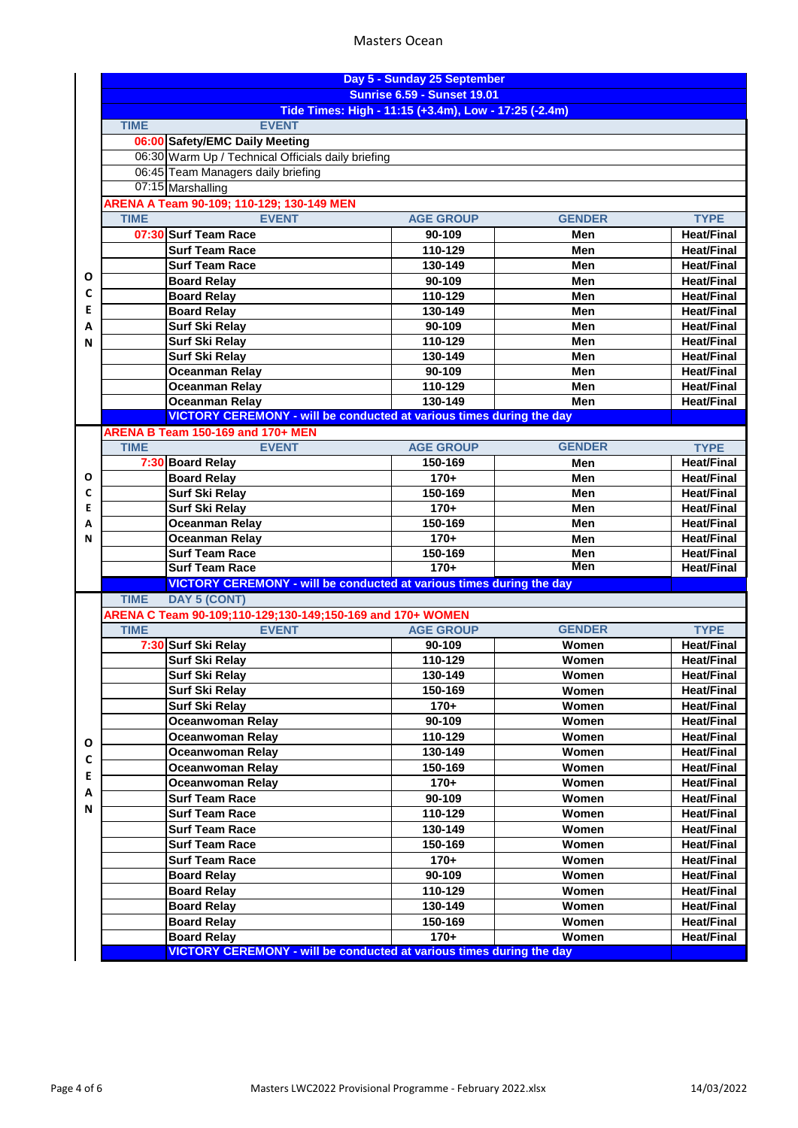# Masters Ocean

|   | Day 5 - Sunday 25 September<br><b>Sunrise 6.59 - Sunset 19.01</b>           |                  |               |                   |  |
|---|-----------------------------------------------------------------------------|------------------|---------------|-------------------|--|
|   | Tide Times: High - 11:15 (+3.4m), Low - 17:25 (-2.4m)                       |                  |               |                   |  |
|   | <b>TIME</b><br><b>EVENT</b>                                                 |                  |               |                   |  |
|   | 06:00 Safety/EMC Daily Meeting                                              |                  |               |                   |  |
|   | 06:30 Warm Up / Technical Officials daily briefing                          |                  |               |                   |  |
|   | 06:45 Team Managers daily briefing                                          |                  |               |                   |  |
|   | 07:15 Marshalling                                                           |                  |               |                   |  |
|   | ARENA A Team 90-109; 110-129; 130-149 MEN                                   |                  |               |                   |  |
|   | <b>EVENT</b><br><b>TIME</b>                                                 | <b>AGE GROUP</b> | <b>GENDER</b> | <b>TYPE</b>       |  |
|   | 07:30 Surf Team Race                                                        | 90-109           | Men           | <b>Heat/Final</b> |  |
|   | <b>Surf Team Race</b>                                                       | 110-129          | Men           | <b>Heat/Final</b> |  |
|   | <b>Surf Team Race</b>                                                       | 130-149          | Men           | <b>Heat/Final</b> |  |
| Ο | <b>Board Relay</b>                                                          | 90-109           | Men           | <b>Heat/Final</b> |  |
| C | <b>Board Relay</b>                                                          | 110-129          | Men           | <b>Heat/Final</b> |  |
| Е | <b>Board Relay</b>                                                          | 130-149          | Men           | <b>Heat/Final</b> |  |
| А | <b>Surf Ski Relay</b>                                                       | 90-109           | Men           | <b>Heat/Final</b> |  |
| N | Surf Ski Relay                                                              | 110-129          | Men           | <b>Heat/Final</b> |  |
|   | <b>Surf Ski Relay</b>                                                       | 130-149          | Men           | <b>Heat/Final</b> |  |
|   | <b>Oceanman Relay</b>                                                       | 90-109           | Men           | <b>Heat/Final</b> |  |
|   | <b>Oceanman Relay</b>                                                       | 110-129          | Men           | <b>Heat/Final</b> |  |
|   | <b>Oceanman Relay</b>                                                       | 130-149          | Men           | <b>Heat/Final</b> |  |
|   | <b>VICTORY CEREMONY - will be conducted at various times during the day</b> |                  |               |                   |  |
|   | ARENA B Team 150-169 and 170+ MEN<br><b>EVENT</b><br><b>TIME</b>            | <b>AGE GROUP</b> | <b>GENDER</b> | <b>TYPE</b>       |  |
|   | 7:30 Board Relay                                                            | 150-169          | Men           | <b>Heat/Final</b> |  |
| О | <b>Board Relay</b>                                                          | $170+$           | Men           | <b>Heat/Final</b> |  |
| C | <b>Surf Ski Relay</b>                                                       | 150-169          | Men           | <b>Heat/Final</b> |  |
| E | <b>Surf Ski Relay</b>                                                       | $170+$           | Men           | <b>Heat/Final</b> |  |
| A | <b>Oceanman Relay</b>                                                       | 150-169          | Men           | <b>Heat/Final</b> |  |
| N | <b>Oceanman Relay</b>                                                       | $170+$           | Men           | <b>Heat/Final</b> |  |
|   | <b>Surf Team Race</b>                                                       | 150-169          | Men           | <b>Heat/Final</b> |  |
|   | <b>Surf Team Race</b>                                                       | $170+$           | Men           | <b>Heat/Final</b> |  |
|   | VICTORY CEREMONY - will be conducted at various times during the day        |                  |               |                   |  |
|   | <b>DAY 5 (CONT)</b><br><b>TIME</b>                                          |                  |               |                   |  |
|   | ARENA C Team 90-109;110-129;130-149;150-169 and 170+ WOMEN                  |                  |               |                   |  |
|   | <b>TIME</b><br><b>EVENT</b>                                                 | <b>AGE GROUP</b> | <b>GENDER</b> | <b>TYPE</b>       |  |
|   | 7:30 Surf Ski Relay                                                         | 90-109           | Women         | <b>Heat/Final</b> |  |
|   | <b>Surf Ski Relay</b>                                                       | 110-129          | Women         | <b>Heat/Final</b> |  |
|   | <b>Surf Ski Relay</b>                                                       | 130-149          | Women         | <b>Heat/Final</b> |  |
|   | <b>Surf Ski Relay</b>                                                       | 150-169          | Women         | <b>Heat/Final</b> |  |
|   | <b>Surf Ski Relay</b>                                                       | $170+$           | Women         | <b>Heat/Final</b> |  |
|   | <b>Oceanwoman Relay</b>                                                     | 90-109           | Women         | <b>Heat/Final</b> |  |
| Ο | <b>Oceanwoman Relay</b>                                                     | 110-129          | Women         | <b>Heat/Final</b> |  |
| C | <b>Oceanwoman Relay</b>                                                     | 130-149          | Women         | <b>Heat/Final</b> |  |
| Е | <b>Oceanwoman Relay</b>                                                     | 150-169          | Women         | <b>Heat/Final</b> |  |
| А | <b>Oceanwoman Relay</b>                                                     | $170+$           | Women         | <b>Heat/Final</b> |  |
| N | <b>Surf Team Race</b>                                                       | 90-109           | Women         | <b>Heat/Final</b> |  |
|   | <b>Surf Team Race</b>                                                       | 110-129          | Women         | <b>Heat/Final</b> |  |
|   | <b>Surf Team Race</b>                                                       | 130-149          | Women         | <b>Heat/Final</b> |  |
|   | <b>Surf Team Race</b>                                                       | 150-169          | Women         | <b>Heat/Final</b> |  |
|   | <b>Surf Team Race</b>                                                       | $170+$           | Women         | <b>Heat/Final</b> |  |
|   | <b>Board Relay</b>                                                          | 90-109           | Women         | <b>Heat/Final</b> |  |
|   | <b>Board Relay</b>                                                          | 110-129          | Women         | <b>Heat/Final</b> |  |
|   | <b>Board Relay</b>                                                          | 130-149          | Women         | <b>Heat/Final</b> |  |
|   | <b>Board Relay</b>                                                          | 150-169          | Women         | <b>Heat/Final</b> |  |
|   | <b>Board Relay</b>                                                          | $170+$           | Women         | <b>Heat/Final</b> |  |
|   | <b>VICTORY CEREMONY - will be conducted at various times during the day</b> |                  |               |                   |  |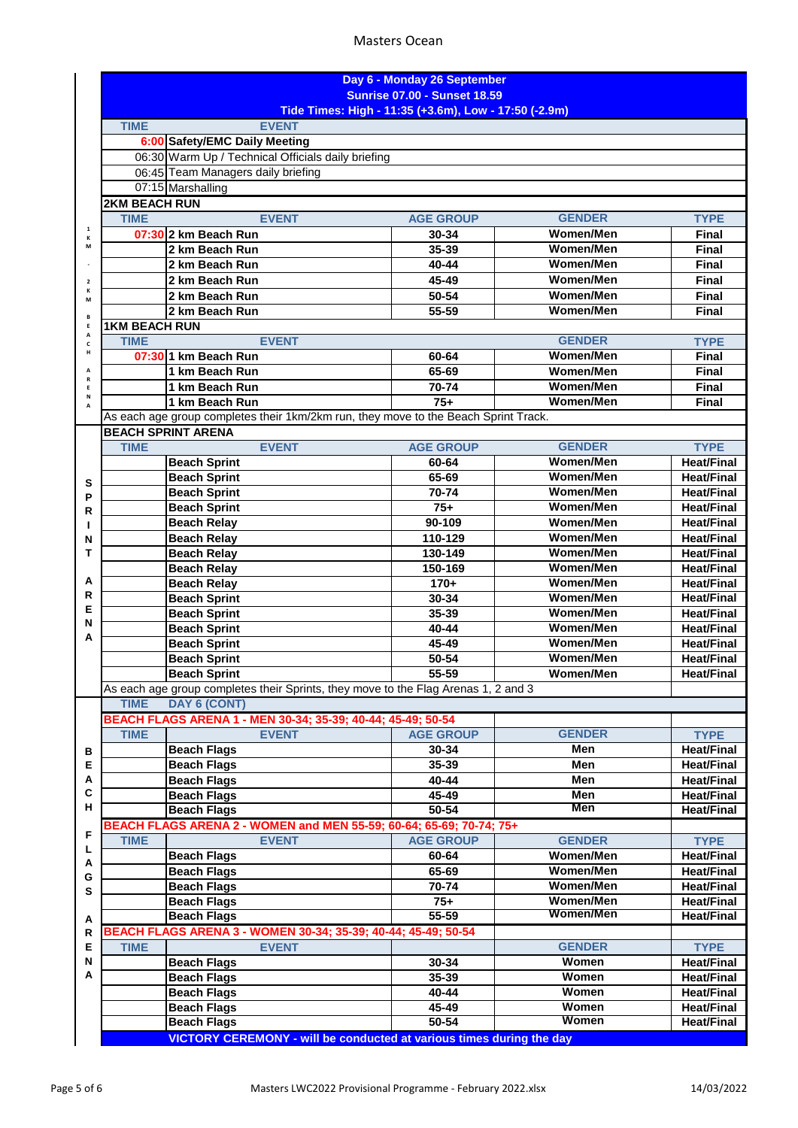# Masters Ocean

|                         |                                                                                      |                                                                                     | Day 6 - Monday 26 September<br><b>Sunrise 07.00 - Sunset 18.59</b> |                  |                                        |  |
|-------------------------|--------------------------------------------------------------------------------------|-------------------------------------------------------------------------------------|--------------------------------------------------------------------|------------------|----------------------------------------|--|
|                         | Tide Times: High - 11:35 (+3.6m), Low - 17:50 (-2.9m)<br><b>TIME</b><br><b>EVENT</b> |                                                                                     |                                                                    |                  |                                        |  |
|                         |                                                                                      | 6:00 Safety/EMC Daily Meeting                                                       |                                                                    |                  |                                        |  |
|                         |                                                                                      | 06:30 Warm Up / Technical Officials daily briefing                                  |                                                                    |                  |                                        |  |
|                         |                                                                                      | 06:45 Team Managers daily briefing                                                  |                                                                    |                  |                                        |  |
|                         |                                                                                      | 07:15 Marshalling                                                                   |                                                                    |                  |                                        |  |
|                         | <b>2KM BEACH RUN</b>                                                                 |                                                                                     |                                                                    |                  |                                        |  |
|                         | <b>TIME</b>                                                                          | <b>EVENT</b>                                                                        | <b>AGE GROUP</b>                                                   | <b>GENDER</b>    | <b>TYPE</b>                            |  |
| $\mathbf 1$<br>К        |                                                                                      | 07:30 2 km Beach Run                                                                | 30-34                                                              | <b>Women/Men</b> | <b>Final</b>                           |  |
| M                       |                                                                                      | 2 km Beach Run                                                                      | 35-39                                                              | <b>Women/Men</b> | <b>Final</b>                           |  |
|                         |                                                                                      | 2 km Beach Run                                                                      | 40-44                                                              | <b>Women/Men</b> | <b>Final</b>                           |  |
| $\overline{\mathbf{2}}$ |                                                                                      | 2 km Beach Run                                                                      | 45-49                                                              | <b>Women/Men</b> | Final                                  |  |
| К<br>М                  |                                                                                      | 2 km Beach Run                                                                      | 50-54                                                              | <b>Women/Men</b> | <b>Final</b>                           |  |
| В                       |                                                                                      | 2 km Beach Run                                                                      | 55-59                                                              | <b>Women/Men</b> | <b>Final</b>                           |  |
| Ε<br>А                  | <b>1KM BEACH RUN</b>                                                                 |                                                                                     |                                                                    |                  |                                        |  |
| $\mathbf c$             | <b>TIME</b>                                                                          | <b>EVENT</b>                                                                        |                                                                    | <b>GENDER</b>    | <b>TYPE</b>                            |  |
| н                       |                                                                                      | 07:30 1 km Beach Run                                                                | 60-64                                                              | <b>Women/Men</b> | <b>Final</b>                           |  |
| A<br>R                  |                                                                                      | 1 km Beach Run                                                                      | 65-69                                                              | <b>Women/Men</b> | <b>Final</b>                           |  |
| E<br>N                  |                                                                                      | 1 km Beach Run                                                                      | 70-74                                                              | <b>Women/Men</b> | <b>Final</b>                           |  |
| A                       |                                                                                      | 1 km Beach Run                                                                      | $75+$                                                              | <b>Women/Men</b> | Final                                  |  |
|                         |                                                                                      | As each age group completes their 1km/2km run, they move to the Beach Sprint Track. |                                                                    |                  |                                        |  |
|                         | <b>TIME</b>                                                                          | <b>BEACH SPRINT ARENA</b><br><b>EVENT</b>                                           | <b>AGE GROUP</b>                                                   | <b>GENDER</b>    |                                        |  |
|                         |                                                                                      |                                                                                     | 60-64                                                              | Women/Men        | <b>TYPE</b><br><b>Heat/Final</b>       |  |
|                         |                                                                                      | <b>Beach Sprint</b><br><b>Beach Sprint</b>                                          | 65-69                                                              | <b>Women/Men</b> | <b>Heat/Final</b>                      |  |
| s                       |                                                                                      | <b>Beach Sprint</b>                                                                 | 70-74                                                              | <b>Women/Men</b> | <b>Heat/Final</b>                      |  |
| P                       |                                                                                      | <b>Beach Sprint</b>                                                                 | $75+$                                                              | <b>Women/Men</b> | <b>Heat/Final</b>                      |  |
| R                       |                                                                                      | <b>Beach Relay</b>                                                                  | 90-109                                                             | <b>Women/Men</b> | <b>Heat/Final</b>                      |  |
| J.<br>N                 |                                                                                      | <b>Beach Relay</b>                                                                  | 110-129                                                            | <b>Women/Men</b> | <b>Heat/Final</b>                      |  |
| т                       |                                                                                      | <b>Beach Relay</b>                                                                  | 130-149                                                            | <b>Women/Men</b> | <b>Heat/Final</b>                      |  |
|                         |                                                                                      | <b>Beach Relay</b>                                                                  | 150-169                                                            | <b>Women/Men</b> | <b>Heat/Final</b>                      |  |
| А                       |                                                                                      | <b>Beach Relay</b>                                                                  | $170+$                                                             | Women/Men        | <b>Heat/Final</b>                      |  |
| R                       |                                                                                      | <b>Beach Sprint</b>                                                                 | 30-34                                                              | <b>Women/Men</b> | <b>Heat/Final</b>                      |  |
| E                       |                                                                                      | <b>Beach Sprint</b>                                                                 | 35-39                                                              | <b>Women/Men</b> | <b>Heat/Final</b>                      |  |
| N<br>А                  |                                                                                      | <b>Beach Sprint</b>                                                                 | 40-44                                                              | <b>Women/Men</b> | <b>Heat/Final</b>                      |  |
|                         |                                                                                      | <b>Beach Sprint</b>                                                                 | 45-49                                                              | <b>Women/Men</b> | <b>Heat/Final</b>                      |  |
|                         |                                                                                      | <b>Beach Sprint</b>                                                                 | 50-54                                                              | <b>Women/Men</b> | <b>Heat/Final</b>                      |  |
|                         |                                                                                      | <b>Beach Sprint</b>                                                                 | 55-59                                                              | Women/Men        | <b>Heat/Final</b>                      |  |
|                         |                                                                                      | As each age group completes their Sprints, they move to the Flag Arenas 1, 2 and 3  |                                                                    |                  |                                        |  |
|                         | <b>TIME</b>                                                                          | DAY 6 (CONT)                                                                        |                                                                    |                  |                                        |  |
|                         |                                                                                      | BEACH FLAGS ARENA 1 - MEN 30-34; 35-39; 40-44; 45-49; 50-54                         |                                                                    |                  |                                        |  |
|                         | <b>TIME</b>                                                                          | <b>EVENT</b>                                                                        | <b>AGE GROUP</b>                                                   | <b>GENDER</b>    | <b>TYPE</b>                            |  |
| в<br>E                  |                                                                                      | <b>Beach Flags</b>                                                                  | 30-34<br>35-39                                                     | Men<br>Men       | <b>Heat/Final</b>                      |  |
| Α                       |                                                                                      | <b>Beach Flags</b><br><b>Beach Flags</b>                                            | 40-44                                                              | Men              | <b>Heat/Final</b><br><b>Heat/Final</b> |  |
| C                       |                                                                                      | <b>Beach Flags</b>                                                                  | 45-49                                                              | Men              | <b>Heat/Final</b>                      |  |
| н                       |                                                                                      | <b>Beach Flags</b>                                                                  | $50 - 54$                                                          | Men              | <b>Heat/Final</b>                      |  |
|                         |                                                                                      | BEACH FLAGS ARENA 2 - WOMEN and MEN 55-59; 60-64; 65-69; 70-74; 75+                 |                                                                    |                  |                                        |  |
| F                       | <b>TIME</b>                                                                          | <b>EVENT</b>                                                                        | <b>AGE GROUP</b>                                                   | <b>GENDER</b>    | <b>TYPE</b>                            |  |
| L                       |                                                                                      | <b>Beach Flags</b>                                                                  | 60-64                                                              | Women/Men        | <b>Heat/Final</b>                      |  |
| Α                       |                                                                                      | <b>Beach Flags</b>                                                                  | 65-69                                                              | <b>Women/Men</b> | <b>Heat/Final</b>                      |  |
| G<br>S                  |                                                                                      | <b>Beach Flags</b>                                                                  | 70-74                                                              | <b>Women/Men</b> | <b>Heat/Final</b>                      |  |
|                         |                                                                                      | <b>Beach Flags</b>                                                                  | $75+$                                                              | Women/Men        | <b>Heat/Final</b>                      |  |
| Α                       |                                                                                      | <b>Beach Flags</b>                                                                  | $55 - 59$                                                          | Women/Men        | <b>Heat/Final</b>                      |  |
| R                       |                                                                                      | BEACH FLAGS ARENA 3 - WOMEN 30-34; 35-39; 40-44; 45-49; 50-54                       |                                                                    |                  |                                        |  |
| E                       | <b>TIME</b>                                                                          | <b>EVENT</b>                                                                        |                                                                    | <b>GENDER</b>    | <b>TYPE</b>                            |  |
| N                       |                                                                                      | <b>Beach Flags</b>                                                                  | 30-34                                                              | Women            | <b>Heat/Final</b>                      |  |
| А                       |                                                                                      | <b>Beach Flags</b>                                                                  | 35-39                                                              | Women            | <b>Heat/Final</b>                      |  |
|                         |                                                                                      | <b>Beach Flags</b>                                                                  | 40-44                                                              | Women            | <b>Heat/Final</b>                      |  |
|                         |                                                                                      | <b>Beach Flags</b>                                                                  | 45-49                                                              | Women            | <b>Heat/Final</b>                      |  |
|                         |                                                                                      | <b>Beach Flags</b>                                                                  | $50 - 54$                                                          | Women            | <b>Heat/Final</b>                      |  |
|                         |                                                                                      | <b>VICTORY CEREMONY - will be conducted at various times during the day</b>         |                                                                    |                  |                                        |  |